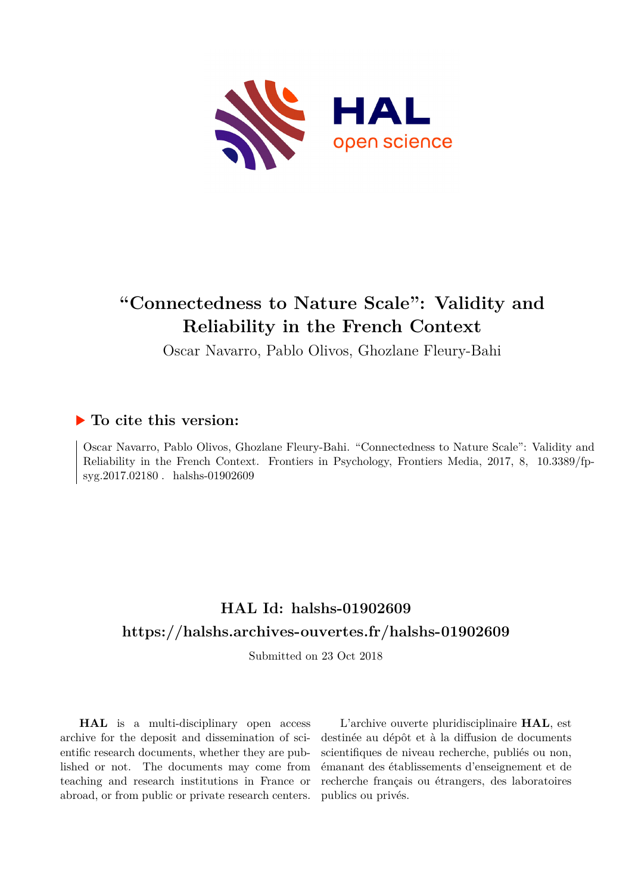

# **"Connectedness to Nature Scale": Validity and Reliability in the French Context**

Oscar Navarro, Pablo Olivos, Ghozlane Fleury-Bahi

# **To cite this version:**

Oscar Navarro, Pablo Olivos, Ghozlane Fleury-Bahi. "Connectedness to Nature Scale": Validity and Reliability in the French Context. Frontiers in Psychology, Frontiers Media,  $2017$ , 8,  $10.3389/fp$ syg.2017.02180. halshs-01902609

# **HAL Id: halshs-01902609 <https://halshs.archives-ouvertes.fr/halshs-01902609>**

Submitted on 23 Oct 2018

**HAL** is a multi-disciplinary open access archive for the deposit and dissemination of scientific research documents, whether they are published or not. The documents may come from teaching and research institutions in France or abroad, or from public or private research centers.

L'archive ouverte pluridisciplinaire **HAL**, est destinée au dépôt et à la diffusion de documents scientifiques de niveau recherche, publiés ou non, émanant des établissements d'enseignement et de recherche français ou étrangers, des laboratoires publics ou privés.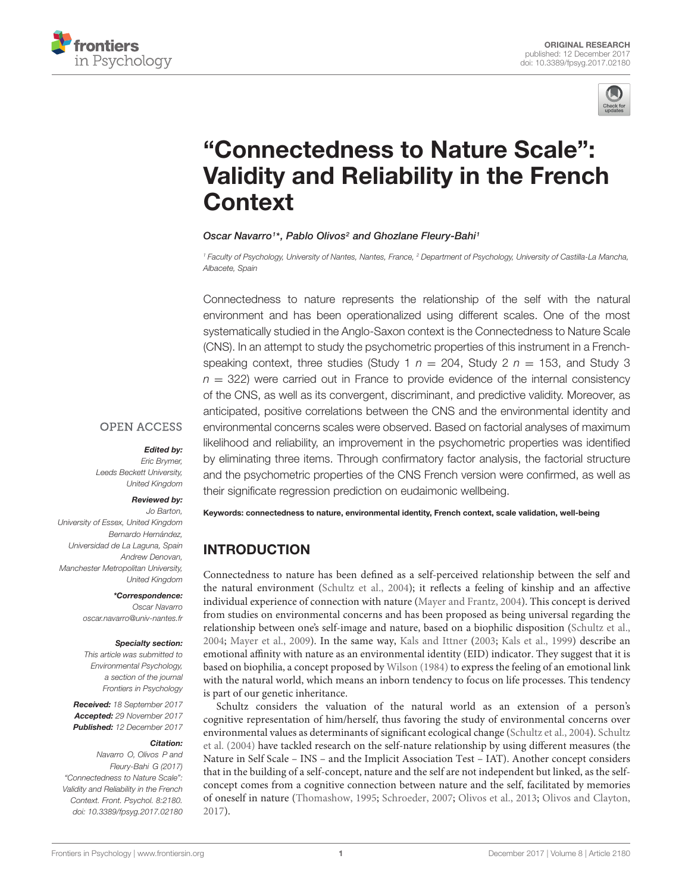



# "Connectedness to Nature Scale": [Validity and Reliability in the French](https://www.frontiersin.org/articles/10.3389/fpsyg.2017.02180/full) **Context**

#### [Oscar Navarro](http://loop.frontiersin.org/people/346511/overview)<sup>1\*</sup>, [Pablo Olivos](http://loop.frontiersin.org/people/333144/overview)<sup>2</sup> and Ghozlane Fleury-Bahi<sup>1</sup>

<sup>1</sup> Faculty of Psychology, University of Nantes, Nantes, France, <sup>2</sup> Department of Psychology, University of Castilla-La Mancha, Albacete, Spain

Connectedness to nature represents the relationship of the self with the natural environment and has been operationalized using different scales. One of the most systematically studied in the Anglo-Saxon context is the Connectedness to Nature Scale (CNS). In an attempt to study the psychometric properties of this instrument in a Frenchspeaking context, three studies (Study 1  $n = 204$ , Study 2  $n = 153$ , and Study 3  $n = 322$ ) were carried out in France to provide evidence of the internal consistency of the CNS, as well as its convergent, discriminant, and predictive validity. Moreover, as anticipated, positive correlations between the CNS and the environmental identity and environmental concerns scales were observed. Based on factorial analyses of maximum likelihood and reliability, an improvement in the psychometric properties was identified by eliminating three items. Through confirmatory factor analysis, the factorial structure and the psychometric properties of the CNS French version were confirmed, as well as their significate regression prediction on eudaimonic wellbeing.

## **OPEN ACCESS**

#### Edited by:

Eric Brymer, Leeds Beckett University, United Kingdom

#### Reviewed by:

Jo Barton, University of Essex, United Kingdom Bernardo Hernández, Universidad de La Laguna, Spain Andrew Denovan, Manchester Metropolitan University, United Kingdom

> \*Correspondence: Oscar Navarro oscar.navarro@univ-nantes.fr

#### Specialty section:

This article was submitted to Environmental Psychology, a section of the journal Frontiers in Psychology

Received: 18 September 2017 Accepted: 29 November 2017 Published: 12 December 2017

#### Citation:

Navarro O, Olivos P and Fleury-Bahi G (2017) "Connectedness to Nature Scale": Validity and Reliability in the French Context. Front. Psychol. 8:2180. doi: [10.3389/fpsyg.2017.02180](https://doi.org/10.3389/fpsyg.2017.02180) Keywords: connectedness to nature, environmental identity, French context, scale validation, well-being

# INTRODUCTION

Connectedness to nature has been defined as a self-perceived relationship between the self and the natural environment (Schultz et al., 2004); it reflects a feeling of kinship and an affective individual experience of connection with nature (Mayer and Frantz, 2004). This concept is derived from studies on environmental concerns and has been proposed as being universal regarding the relationship between one's self-image and nature, based on a biophilic disposition (Schultz et al., 2004; Mayer et al., 2009). In the same way, Kals and Ittner (2003; Kals et al., 1999) describe an emotional affinity with nature as an environmental identity (EID) indicator. They suggest that it is based on biophilia, a concept proposed by Wilson (1984) to express the feeling of an emotional link with the natural world, which means an inborn tendency to focus on life processes. This tendency is part of our genetic inheritance.

Schultz considers the valuation of the natural world as an extension of a person's cognitive representation of him/herself, thus favoring the study of environmental concerns over environmental values as determinants of significant ecological change (Schultz et al., 2004). Schultz et al. (2004) have tackled research on the self-nature relationship by using different measures (the Nature in Self Scale – INS – and the Implicit Association Test – IAT). Another concept considers that in the building of a self-concept, nature and the self are not independent but linked, as the selfconcept comes from a cognitive connection between nature and the self, facilitated by memories of oneself in nature (Thomashow, 1995; Schroeder, 2007; Olivos et al., 2013; Olivos and Clayton, 2017).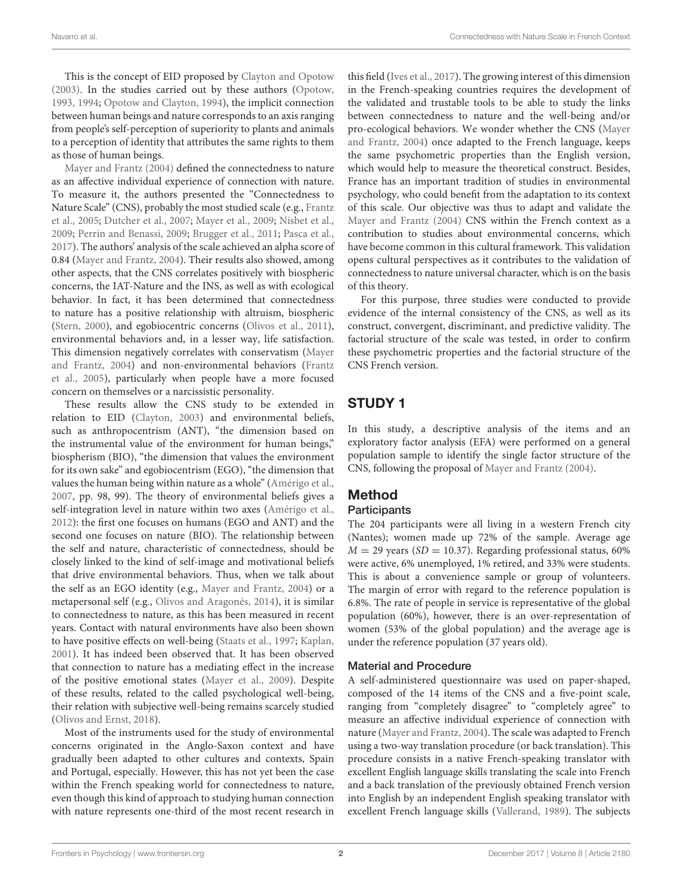This is the concept of EID proposed by Clayton and Opotow (2003). In the studies carried out by these authors (Opotow, 1993, 1994; Opotow and Clayton, 1994), the implicit connection between human beings and nature corresponds to an axis ranging from people's self-perception of superiority to plants and animals to a perception of identity that attributes the same rights to them as those of human beings.

Mayer and Frantz (2004) defined the connectedness to nature as an affective individual experience of connection with nature. To measure it, the authors presented the "Connectedness to Nature Scale" (CNS), probably the most studied scale (e.g., Frantz et al., 2005; Dutcher et al., 2007; Mayer et al., 2009; Nisbet et al., 2009; Perrin and Benassi, 2009; Brugger et al., 2011; Pasca et al., 2017). The authors' analysis of the scale achieved an alpha score of 0.84 (Mayer and Frantz, 2004). Their results also showed, among other aspects, that the CNS correlates positively with biospheric concerns, the IAT-Nature and the INS, as well as with ecological behavior. In fact, it has been determined that connectedness to nature has a positive relationship with altruism, biospheric (Stern, 2000), and egobiocentric concerns (Olivos et al., 2011), environmental behaviors and, in a lesser way, life satisfaction. This dimension negatively correlates with conservatism (Mayer and Frantz, 2004) and non-environmental behaviors (Frantz et al., 2005), particularly when people have a more focused concern on themselves or a narcissistic personality.

These results allow the CNS study to be extended in relation to EID (Clayton, 2003) and environmental beliefs, such as anthropocentrism (ANT), "the dimension based on the instrumental value of the environment for human beings," biospherism (BIO), "the dimension that values the environment for its own sake" and egobiocentrism (EGO), "the dimension that values the human being within nature as a whole" (Amérigo et al., 2007, pp. 98, 99). The theory of environmental beliefs gives a self-integration level in nature within two axes (Amérigo et al., 2012): the first one focuses on humans (EGO and ANT) and the second one focuses on nature (BIO). The relationship between the self and nature, characteristic of connectedness, should be closely linked to the kind of self-image and motivational beliefs that drive environmental behaviors. Thus, when we talk about the self as an EGO identity (e.g., Mayer and Frantz, 2004) or a metapersonal self (e.g., Olivos and Aragonés, 2014), it is similar to connectedness to nature, as this has been measured in recent years. Contact with natural environments have also been shown to have positive effects on well-being (Staats et al., 1997; Kaplan, 2001). It has indeed been observed that. It has been observed that connection to nature has a mediating effect in the increase of the positive emotional states (Mayer et al., 2009). Despite of these results, related to the called psychological well-being, their relation with subjective well-being remains scarcely studied (Olivos and Ernst, 2018).

Most of the instruments used for the study of environmental concerns originated in the Anglo-Saxon context and have gradually been adapted to other cultures and contexts, Spain and Portugal, especially. However, this has not yet been the case within the French speaking world for connectedness to nature, even though this kind of approach to studying human connection with nature represents one-third of the most recent research in

this field (Ives et al., 2017). The growing interest of this dimension in the French-speaking countries requires the development of the validated and trustable tools to be able to study the links between connectedness to nature and the well-being and/or pro-ecological behaviors. We wonder whether the CNS (Mayer and Frantz, 2004) once adapted to the French language, keeps the same psychometric properties than the English version, which would help to measure the theoretical construct. Besides, France has an important tradition of studies in environmental psychology, who could benefit from the adaptation to its context of this scale. Our objective was thus to adapt and validate the Mayer and Frantz (2004) CNS within the French context as a contribution to studies about environmental concerns, which have become common in this cultural framework. This validation opens cultural perspectives as it contributes to the validation of connectedness to nature universal character, which is on the basis of this theory.

For this purpose, three studies were conducted to provide evidence of the internal consistency of the CNS, as well as its construct, convergent, discriminant, and predictive validity. The factorial structure of the scale was tested, in order to confirm these psychometric properties and the factorial structure of the CNS French version.

# STUDY 1

In this study, a descriptive analysis of the items and an exploratory factor analysis (EFA) were performed on a general population sample to identify the single factor structure of the CNS, following the proposal of Mayer and Frantz (2004).

# Method

#### **Participants**

The 204 participants were all living in a western French city (Nantes); women made up 72% of the sample. Average age  $M = 29$  years (SD = 10.37). Regarding professional status, 60% were active, 6% unemployed, 1% retired, and 33% were students. This is about a convenience sample or group of volunteers. The margin of error with regard to the reference population is 6.8%. The rate of people in service is representative of the global population (60%), however, there is an over-representation of women (53% of the global population) and the average age is under the reference population (37 years old).

## Material and Procedure

A self-administered questionnaire was used on paper-shaped, composed of the 14 items of the CNS and a five-point scale, ranging from "completely disagree" to "completely agree" to measure an affective individual experience of connection with nature (Mayer and Frantz, 2004). The scale was adapted to French using a two-way translation procedure (or back translation). This procedure consists in a native French-speaking translator with excellent English language skills translating the scale into French and a back translation of the previously obtained French version into English by an independent English speaking translator with excellent French language skills (Vallerand, 1989). The subjects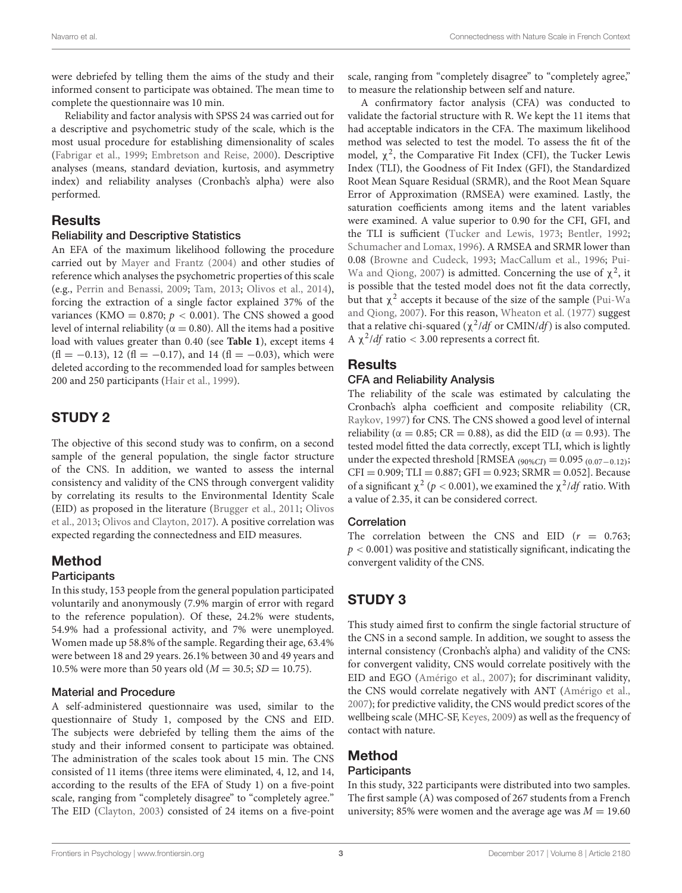were debriefed by telling them the aims of the study and their informed consent to participate was obtained. The mean time to complete the questionnaire was 10 min.

Reliability and factor analysis with SPSS 24 was carried out for a descriptive and psychometric study of the scale, which is the most usual procedure for establishing dimensionality of scales (Fabrigar et al., 1999; Embretson and Reise, 2000). Descriptive analyses (means, standard deviation, kurtosis, and asymmetry index) and reliability analyses (Cronbach's alpha) were also performed.

## **Results**

#### Reliability and Descriptive Statistics

An EFA of the maximum likelihood following the procedure carried out by Mayer and Frantz (2004) and other studies of reference which analyses the psychometric properties of this scale (e.g., Perrin and Benassi, 2009; Tam, 2013; Olivos et al., 2014), forcing the extraction of a single factor explained 37% of the variances (KMO =  $0.870$ ;  $p < 0.001$ ). The CNS showed a good level of internal reliability ( $α = 0.80$ ). All the items had a positive load with values greater than 0.40 (see **Table 1**), except items 4  $(f1 = -0.13)$ , 12  $(f1 = -0.17)$ , and 14  $(f1 = -0.03)$ , which were deleted according to the recommended load for samples between 200 and 250 participants (Hair et al., 1999).

# STUDY 2

The objective of this second study was to confirm, on a second sample of the general population, the single factor structure of the CNS. In addition, we wanted to assess the internal consistency and validity of the CNS through convergent validity by correlating its results to the Environmental Identity Scale (EID) as proposed in the literature (Brugger et al., 2011; Olivos et al., 2013; Olivos and Clayton, 2017). A positive correlation was expected regarding the connectedness and EID measures.

# Method

## **Participants**

In this study, 153 people from the general population participated voluntarily and anonymously (7.9% margin of error with regard to the reference population). Of these, 24.2% were students, 54.9% had a professional activity, and 7% were unemployed. Women made up 58.8% of the sample. Regarding their age, 63.4% were between 18 and 29 years. 26.1% between 30 and 49 years and 10.5% were more than 50 years old ( $M = 30.5$ ; SD = 10.75).

## Material and Procedure

A self-administered questionnaire was used, similar to the questionnaire of Study 1, composed by the CNS and EID. The subjects were debriefed by telling them the aims of the study and their informed consent to participate was obtained. The administration of the scales took about 15 min. The CNS consisted of 11 items (three items were eliminated, 4, 12, and 14, according to the results of the EFA of Study 1) on a five-point scale, ranging from "completely disagree" to "completely agree." The EID (Clayton, 2003) consisted of 24 items on a five-point

scale, ranging from "completely disagree" to "completely agree," to measure the relationship between self and nature.

A confirmatory factor analysis (CFA) was conducted to validate the factorial structure with R. We kept the 11 items that had acceptable indicators in the CFA. The maximum likelihood method was selected to test the model. To assess the fit of the model,  $\chi^2$ , the Comparative Fit Index (CFI), the Tucker Lewis Index (TLI), the Goodness of Fit Index (GFI), the Standardized Root Mean Square Residual (SRMR), and the Root Mean Square Error of Approximation (RMSEA) were examined. Lastly, the saturation coefficients among items and the latent variables were examined. A value superior to 0.90 for the CFI, GFI, and the TLI is sufficient (Tucker and Lewis, 1973; Bentler, 1992; Schumacher and Lomax, 1996). A RMSEA and SRMR lower than 0.08 (Browne and Cudeck, 1993; MacCallum et al., 1996; Pui-Wa and Qiong, 2007) is admitted. Concerning the use of  $\chi^2$ , it is possible that the tested model does not fit the data correctly, but that  $\chi^2$  accepts it because of the size of the sample (Pui-Wa and Qiong, 2007). For this reason, Wheaton et al. (1977) suggest that a relative chi-squared ( $\chi^2/df$  or CMIN/df) is also computed. A  $\chi^2$ /*df* ratio < 3.00 represents a correct fit.

# **Results**

## CFA and Reliability Analysis

The reliability of the scale was estimated by calculating the Cronbach's alpha coefficient and composite reliability (CR, Raykov, 1997) for CNS. The CNS showed a good level of internal reliability ( $\alpha = 0.85$ ; CR = 0.88), as did the EID ( $\alpha = 0.93$ ). The tested model fitted the data correctly, except TLI, which is lightly under the expected threshold [RMSEA  $_{(90\%CI)} = 0.095_{(0.07-0.12)}$ ;  $CFI = 0.909$ ;  $TLI = 0.887$ ;  $GFI = 0.923$ ;  $SRMR = 0.052$ ]. Because of a significant  $\chi^2$  (*p* < 0.001), we examined the  $\chi^2/df$  ratio. With a value of 2.35, it can be considered correct.

## **Correlation**

The correlation between the CNS and EID  $(r = 0.763;$  $p < 0.001$ ) was positive and statistically significant, indicating the convergent validity of the CNS.

# STUDY 3

This study aimed first to confirm the single factorial structure of the CNS in a second sample. In addition, we sought to assess the internal consistency (Cronbach's alpha) and validity of the CNS: for convergent validity, CNS would correlate positively with the EID and EGO (Amérigo et al., 2007); for discriminant validity, the CNS would correlate negatively with ANT (Amérigo et al., 2007); for predictive validity, the CNS would predict scores of the wellbeing scale (MHC-SF, Keyes, 2009) as well as the frequency of contact with nature.

# Method

## **Participants**

In this study, 322 participants were distributed into two samples. The first sample (A) was composed of 267 students from a French university; 85% were women and the average age was  $M = 19.60$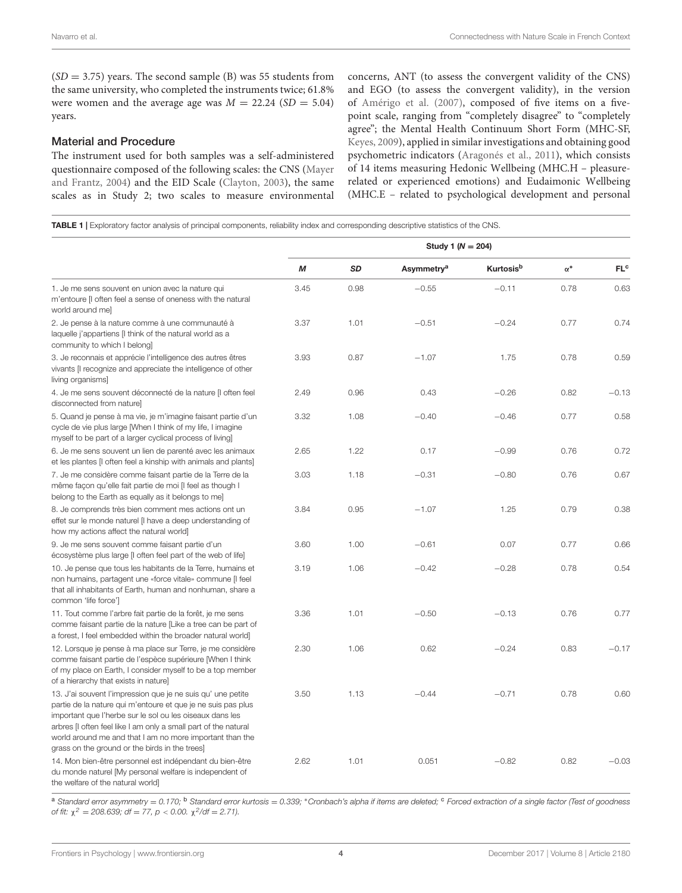$(SD = 3.75)$  years. The second sample (B) was 55 students from the same university, who completed the instruments twice; 61.8% were women and the average age was  $M = 22.24$  (SD = 5.04) years.

#### Material and Procedure

The instrument used for both samples was a self-administered questionnaire composed of the following scales: the CNS (Mayer and Frantz, 2004) and the EID Scale (Clayton, 2003), the same scales as in Study 2; two scales to measure environmental concerns, ANT (to assess the convergent validity of the CNS) and EGO (to assess the convergent validity), in the version of Amérigo et al. (2007), composed of five items on a fivepoint scale, ranging from "completely disagree" to "completely agree"; the Mental Health Continuum Short Form (MHC-SF, Keyes, 2009), applied in similar investigations and obtaining good psychometric indicators (Aragonés et al., 2011), which consists of 14 items measuring Hedonic Wellbeing (MHC.H – pleasurerelated or experienced emotions) and Eudaimonic Wellbeing (MHC.E – related to psychological development and personal

TABLE 1 | Exploratory factor analysis of principal components, reliability index and corresponding descriptive statistics of the CNS.

|                                                                                                                                                                                                                                                                                                                                                                          | Study 1 ( $N = 204$ ) |           |                        |                              |            |                 |
|--------------------------------------------------------------------------------------------------------------------------------------------------------------------------------------------------------------------------------------------------------------------------------------------------------------------------------------------------------------------------|-----------------------|-----------|------------------------|------------------------------|------------|-----------------|
|                                                                                                                                                                                                                                                                                                                                                                          | M                     | <b>SD</b> | Asymmetry <sup>a</sup> | <b>Kurtosis</b> <sup>b</sup> | $\alpha^*$ | FL <sup>c</sup> |
| 1. Je me sens souvent en union avec la nature qui<br>m'entoure [I often feel a sense of oneness with the natural<br>world around me]                                                                                                                                                                                                                                     | 3.45                  | 0.98      | $-0.55$                | $-0.11$                      | 0.78       | 0.63            |
| 2. Je pense à la nature comme à une communauté à<br>laquelle j'appartiens [I think of the natural world as a<br>community to which I belong]                                                                                                                                                                                                                             | 3.37                  | 1.01      | $-0.51$                | $-0.24$                      | 0.77       | 0.74            |
| 3. Je reconnais et apprécie l'intelligence des autres êtres<br>vivants [I recognize and appreciate the intelligence of other<br>living organisms]                                                                                                                                                                                                                        | 3.93                  | 0.87      | $-1.07$                | 1.75                         | 0.78       | 0.59            |
| 4. Je me sens souvent déconnecté de la nature [I often feel<br>disconnected from naturel                                                                                                                                                                                                                                                                                 | 2.49                  | 0.96      | 0.43                   | $-0.26$                      | 0.82       | $-0.13$         |
| 5. Quand je pense à ma vie, je m'imagine faisant partie d'un<br>cycle de vie plus large [When I think of my life, I imagine<br>myself to be part of a larger cyclical process of living]                                                                                                                                                                                 | 3.32                  | 1.08      | $-0.40$                | $-0.46$                      | 0.77       | 0.58            |
| 6. Je me sens souvent un lien de parenté avec les animaux<br>et les plantes [I often feel a kinship with animals and plants]                                                                                                                                                                                                                                             | 2.65                  | 1.22      | 0.17                   | $-0.99$                      | 0.76       | 0.72            |
| 7. Je me considère comme faisant partie de la Terre de la<br>même façon qu'elle fait partie de moi [I feel as though I<br>belong to the Earth as equally as it belongs to mel                                                                                                                                                                                            | 3.03                  | 1.18      | $-0.31$                | $-0.80$                      | 0.76       | 0.67            |
| 8. Je comprends très bien comment mes actions ont un<br>effet sur le monde naturel [I have a deep understanding of<br>how my actions affect the natural world]                                                                                                                                                                                                           | 3.84                  | 0.95      | $-1.07$                | 1.25                         | 0.79       | 0.38            |
| 9. Je me sens souvent comme faisant partie d'un<br>écosystème plus large [I often feel part of the web of life]                                                                                                                                                                                                                                                          | 3.60                  | 1.00      | $-0.61$                | 0.07                         | 0.77       | 0.66            |
| 10. Je pense que tous les habitants de la Terre, humains et<br>non humains, partagent une «force vitale» commune [I feel<br>that all inhabitants of Earth, human and nonhuman, share a<br>common 'life force']                                                                                                                                                           | 3.19                  | 1.06      | $-0.42$                | $-0.28$                      | 0.78       | 0.54            |
| 11. Tout comme l'arbre fait partie de la forêt, je me sens<br>comme faisant partie de la nature [Like a tree can be part of<br>a forest, I feel embedded within the broader natural world]                                                                                                                                                                               | 3.36                  | 1.01      | $-0.50$                | $-0.13$                      | 0.76       | 0.77            |
| 12. Lorsque je pense à ma place sur Terre, je me considère<br>comme faisant partie de l'espèce supérieure [When I think<br>of my place on Earth, I consider myself to be a top member<br>of a hierarchy that exists in nature]                                                                                                                                           | 2.30                  | 1.06      | 0.62                   | $-0.24$                      | 0.83       | $-0.17$         |
| 13. J'ai souvent l'impression que je ne suis qu' une petite<br>partie de la nature qui m'entoure et que je ne suis pas plus<br>important que l'herbe sur le sol ou les oiseaux dans les<br>arbres [I often feel like I am only a small part of the natural<br>world around me and that I am no more important than the<br>grass on the ground or the birds in the trees] | 3.50                  | 1.13      | $-0.44$                | $-0.71$                      | 0.78       | 0.60            |
| 14. Mon bien-être personnel est indépendant du bien-être<br>du monde naturel [My personal welfare is independent of<br>the welfare of the natural world]                                                                                                                                                                                                                 | 2.62                  | 1.01      | 0.051                  | $-0.82$                      | 0.82       | $-0.03$         |

a Standard error asymmetry = 0.170; <sup>b</sup> Standard error kurtosis = 0.339; \*Cronbach's alpha if items are deleted; <sup>c</sup> Forced extraction of a single factor (Test of goodness of fit:  $\chi^2 = 208.639$ ; df = 77, p < 0.00.  $\chi^2$ /df = 2.71).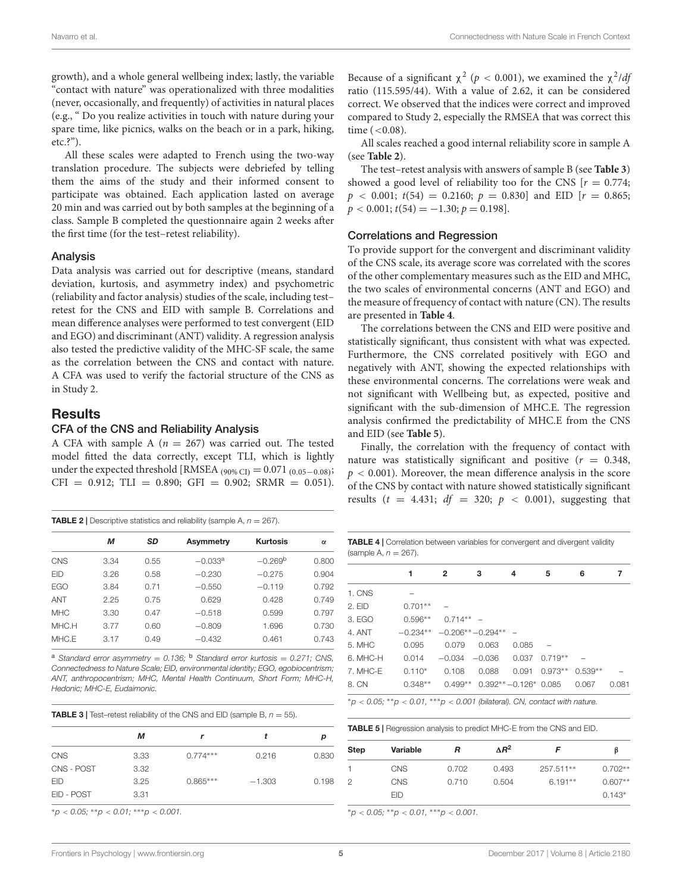growth), and a whole general wellbeing index; lastly, the variable "contact with nature" was operationalized with three modalities (never, occasionally, and frequently) of activities in natural places (e.g., " Do you realize activities in touch with nature during your spare time, like picnics, walks on the beach or in a park, hiking, etc.?").

All these scales were adapted to French using the two-way translation procedure. The subjects were debriefed by telling them the aims of the study and their informed consent to participate was obtained. Each application lasted on average 20 min and was carried out by both samples at the beginning of a class. Sample B completed the questionnaire again 2 weeks after the first time (for the test–retest reliability).

#### Analysis

Data analysis was carried out for descriptive (means, standard deviation, kurtosis, and asymmetry index) and psychometric (reliability and factor analysis) studies of the scale, including test– retest for the CNS and EID with sample B. Correlations and mean difference analyses were performed to test convergent (EID and EGO) and discriminant (ANT) validity. A regression analysis also tested the predictive validity of the MHC-SF scale, the same as the correlation between the CNS and contact with nature. A CFA was used to verify the factorial structure of the CNS as in Study 2.

## **Results**

#### CFA of the CNS and Reliability Analysis

A CFA with sample A ( $n = 267$ ) was carried out. The tested model fitted the data correctly, except TLI, which is lightly under the expected threshold [RMSEA  $_{(90\% \text{ CI})} = 0.071_{(0.05 - 0.08)}$ ;  $CFI = 0.912$ ; TLI = 0.890; GFI = 0.902; SRMR = 0.051).

| <b>TABLE 2</b>   Descriptive statistics and reliability (sample A, $n = 267$ ). |      |           |           |                 |          |  |
|---------------------------------------------------------------------------------|------|-----------|-----------|-----------------|----------|--|
|                                                                                 | м    | <b>SD</b> | Asymmetry | <b>Kurtosis</b> | $\alpha$ |  |
| CNS                                                                             | 3.34 | 0.55      | $-0.033a$ | $-0.269b$       | 0.800    |  |
| <b>FID</b>                                                                      | 3.26 | 0.58      | $-0.230$  | $-0.275$        | 0.904    |  |
| <b>EGO</b>                                                                      | 3.84 | O 71      | $-0.550$  | $-0.119$        | 0.792    |  |
| <b>ANT</b>                                                                      | 2.25 | 0.75      | 0.629     | 0.428           | 0.749    |  |
| <b>MHC</b>                                                                      | 3.30 | 0.47      | $-0.518$  | 0.599           | 0.797    |  |
| MHC.H                                                                           | 3.77 | 0.60      | $-0.809$  | 1.696           | 0.730    |  |
| MHC.E                                                                           | 3.17 | 0.49      | $-0.432$  | 0.461           | 0.743    |  |

<sup>a</sup> Standard error asymmetry =  $0.136$ ; <sup>b</sup> Standard error kurtosis =  $0.271$ ; CNS, Connectedness to Nature Scale; EID, environmental identity; EGO, egobiocentrism; ANT, anthropocentrism; MHC, Mental Health Continuum, Short Form; MHC-H, Hedonic; MHC-E, Eudaimonic.

|  | <b>TABLE 3</b>   Test-retest reliability of the CNS and EID (sample B, $n = 55$ ). |  |  |
|--|------------------------------------------------------------------------------------|--|--|
|--|------------------------------------------------------------------------------------|--|--|

|            | м    |            |          | D     |
|------------|------|------------|----------|-------|
| <b>CNS</b> | 3.33 | $0.774***$ | 0.216    | 0.830 |
| CNS - POST | 3.32 |            |          |       |
| <b>EID</b> | 3.25 | $0.865***$ | $-1.303$ | 0.198 |
| EID - POST | 3.31 |            |          |       |
|            |      |            |          |       |

 ${}^{*}p$  < 0.05;  ${}^{*}p$  < 0.01;  ${}^{*}{}^{*}p$  < 0.001.

Because of a significant  $\chi^2$  ( $p < 0.001$ ), we examined the  $\chi^2/dp$ ratio (115.595/44). With a value of 2.62, it can be considered correct. We observed that the indices were correct and improved compared to Study 2, especially the RMSEA that was correct this time  $(<0.08)$ .

All scales reached a good internal reliability score in sample A (see **Table 2**).

The test–retest analysis with answers of sample B (see **Table 3**) showed a good level of reliability too for the CNS  $[r = 0.774;$  $p \lt 0.001$ ;  $t(54) = 0.2160$ ;  $p = 0.830$ ] and EID [ $r = 0.865$ ;  $p < 0.001$ ;  $t(54) = -1.30$ ;  $p = 0.198$ .

#### Correlations and Regression

To provide support for the convergent and discriminant validity of the CNS scale, its average score was correlated with the scores of the other complementary measures such as the EID and MHC, the two scales of environmental concerns (ANT and EGO) and the measure of frequency of contact with nature (CN). The results are presented in **Table 4**.

The correlations between the CNS and EID were positive and statistically significant, thus consistent with what was expected. Furthermore, the CNS correlated positively with EGO and negatively with ANT, showing the expected relationships with these environmental concerns. The correlations were weak and not significant with Wellbeing but, as expected, positive and significant with the sub-dimension of MHC.E. The regression analysis confirmed the predictability of MHC.E from the CNS and EID (see **Table 5**).

Finally, the correlation with the frequency of contact with nature was statistically significant and positive  $(r = 0.348,$  $p < 0.001$ ). Moreover, the mean difference analysis in the score of the CNS by contact with nature showed statistically significant results ( $t = 4.431$ ;  $df = 320$ ;  $p < 0.001$ ), suggesting that

TABLE 4 | Correlation between variables for convergent and divergent validity (sample  $A$ ,  $n - 267$ )

|          | 1          | $\mathbf{2}$ | з                    | 4                       | 5         | 6         | 7     |
|----------|------------|--------------|----------------------|-------------------------|-----------|-----------|-------|
| 1. CNS   |            |              |                      |                         |           |           |       |
| $2.$ EID | $0.701**$  |              |                      |                         |           |           |       |
| 3. EGO   | $0.596**$  | $0.714**$ –  |                      |                         |           |           |       |
| 4. ANT   | $-0.234**$ |              | $-0.206***-0.294***$ |                         |           |           |       |
| 5. MHC   | 0.095      | 0.079        | 0.063                | 0.085                   |           |           |       |
| 6. MHC-H | 0.014      | $-0.034$     | $-0.036$             | 0.037                   | $0.719**$ |           |       |
| 7. MHC-E | $0.110*$   | 0.108        | 0.088                | 0.091                   | $0.973**$ | $0.539**$ |       |
| 8. CN    | $0.348**$  | $0.499**$    |                      | $0.392** -0.126* 0.085$ |           | 0.067     | 0.081 |

 $*p < 0.05; **p < 0.01, **p < 0.001$  (bilateral). CN, contact with nature.

TABLE 5 | Regression analysis to predict MHC-E from the CNS and EID.

| <b>Step</b> | Variable   | R     | $\Delta R^2$ |           |           |
|-------------|------------|-------|--------------|-----------|-----------|
|             | <b>CNS</b> | 0.702 | 0.493        | 257.511** | $0.702**$ |
| 2           | <b>CNS</b> | 0.710 | 0.504        | $6.191**$ | $0.607**$ |
|             | <b>FID</b> |       |              |           | $0.143*$  |

 ${}^*p$  < 0.05;  ${}^{**}p$  < 0.01,  ${}^{***}p$  < 0.001.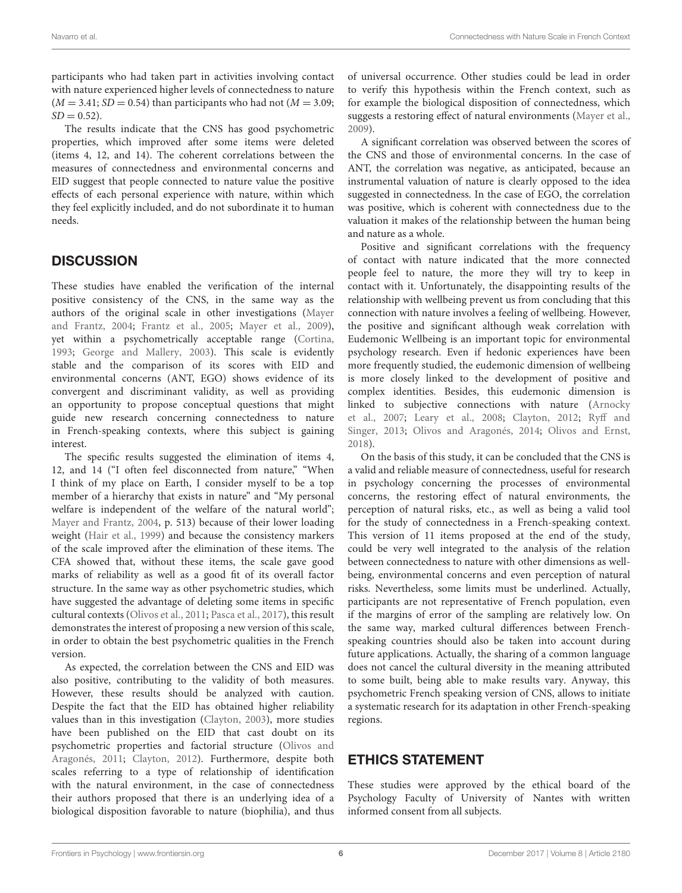participants who had taken part in activities involving contact with nature experienced higher levels of connectedness to nature  $(M = 3.41; SD = 0.54)$  than participants who had not  $(M = 3.09;$  $SD = 0.52$ ).

The results indicate that the CNS has good psychometric properties, which improved after some items were deleted (items 4, 12, and 14). The coherent correlations between the measures of connectedness and environmental concerns and EID suggest that people connected to nature value the positive effects of each personal experience with nature, within which they feel explicitly included, and do not subordinate it to human needs.

# **DISCUSSION**

These studies have enabled the verification of the internal positive consistency of the CNS, in the same way as the authors of the original scale in other investigations (Mayer and Frantz, 2004; Frantz et al., 2005; Mayer et al., 2009), yet within a psychometrically acceptable range (Cortina, 1993; George and Mallery, 2003). This scale is evidently stable and the comparison of its scores with EID and environmental concerns (ANT, EGO) shows evidence of its convergent and discriminant validity, as well as providing an opportunity to propose conceptual questions that might guide new research concerning connectedness to nature in French-speaking contexts, where this subject is gaining interest.

The specific results suggested the elimination of items 4, 12, and 14 ("I often feel disconnected from nature," "When I think of my place on Earth, I consider myself to be a top member of a hierarchy that exists in nature" and "My personal welfare is independent of the welfare of the natural world"; Mayer and Frantz, 2004, p. 513) because of their lower loading weight (Hair et al., 1999) and because the consistency markers of the scale improved after the elimination of these items. The CFA showed that, without these items, the scale gave good marks of reliability as well as a good fit of its overall factor structure. In the same way as other psychometric studies, which have suggested the advantage of deleting some items in specific cultural contexts (Olivos et al., 2011; Pasca et al., 2017), this result demonstrates the interest of proposing a new version of this scale, in order to obtain the best psychometric qualities in the French version.

As expected, the correlation between the CNS and EID was also positive, contributing to the validity of both measures. However, these results should be analyzed with caution. Despite the fact that the EID has obtained higher reliability values than in this investigation (Clayton, 2003), more studies have been published on the EID that cast doubt on its psychometric properties and factorial structure (Olivos and Aragonés, 2011; Clayton, 2012). Furthermore, despite both scales referring to a type of relationship of identification with the natural environment, in the case of connectedness their authors proposed that there is an underlying idea of a biological disposition favorable to nature (biophilia), and thus

of universal occurrence. Other studies could be lead in order to verify this hypothesis within the French context, such as for example the biological disposition of connectedness, which suggests a restoring effect of natural environments (Mayer et al., 2009).

A significant correlation was observed between the scores of the CNS and those of environmental concerns. In the case of ANT, the correlation was negative, as anticipated, because an instrumental valuation of nature is clearly opposed to the idea suggested in connectedness. In the case of EGO, the correlation was positive, which is coherent with connectedness due to the valuation it makes of the relationship between the human being and nature as a whole.

Positive and significant correlations with the frequency of contact with nature indicated that the more connected people feel to nature, the more they will try to keep in contact with it. Unfortunately, the disappointing results of the relationship with wellbeing prevent us from concluding that this connection with nature involves a feeling of wellbeing. However, the positive and significant although weak correlation with Eudemonic Wellbeing is an important topic for environmental psychology research. Even if hedonic experiences have been more frequently studied, the eudemonic dimension of wellbeing is more closely linked to the development of positive and complex identities. Besides, this eudemonic dimension is linked to subjective connections with nature (Arnocky et al., 2007; Leary et al., 2008; Clayton, 2012; Ryff and Singer, 2013; Olivos and Aragonés, 2014; Olivos and Ernst, 2018).

On the basis of this study, it can be concluded that the CNS is a valid and reliable measure of connectedness, useful for research in psychology concerning the processes of environmental concerns, the restoring effect of natural environments, the perception of natural risks, etc., as well as being a valid tool for the study of connectedness in a French-speaking context. This version of 11 items proposed at the end of the study, could be very well integrated to the analysis of the relation between connectedness to nature with other dimensions as wellbeing, environmental concerns and even perception of natural risks. Nevertheless, some limits must be underlined. Actually, participants are not representative of French population, even if the margins of error of the sampling are relatively low. On the same way, marked cultural differences between Frenchspeaking countries should also be taken into account during future applications. Actually, the sharing of a common language does not cancel the cultural diversity in the meaning attributed to some built, being able to make results vary. Anyway, this psychometric French speaking version of CNS, allows to initiate a systematic research for its adaptation in other French-speaking regions.

# ETHICS STATEMENT

These studies were approved by the ethical board of the Psychology Faculty of University of Nantes with written informed consent from all subjects.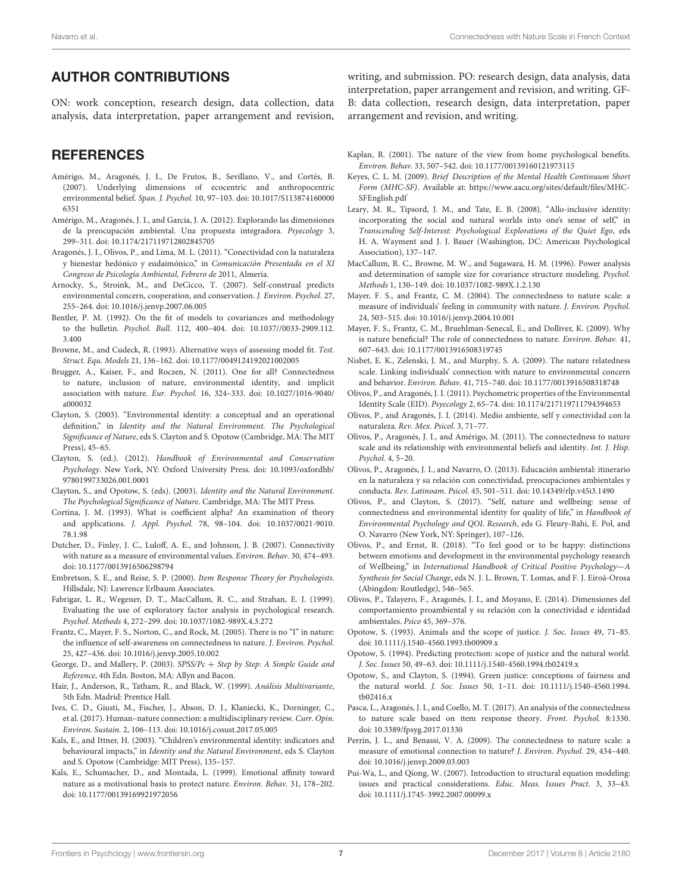## AUTHOR CONTRIBUTIONS

ON: work conception, research design, data collection, data analysis, data interpretation, paper arrangement and revision,

## **REFERENCES**

- Amérigo, M., Aragonés, J. I., De Frutos, B., Sevillano, V., and Cortés, B. (2007). Underlying dimensions of ecocentric and anthropocentric environmental belief. Span. J. Psychol. 10, 97–103. [doi: 10.1017/S113874160000](https://doi.org/10.1017/S1138741600006351) [6351](https://doi.org/10.1017/S1138741600006351)
- Amérigo, M., Aragonés, J. I., and García, J. A. (2012). Explorando las dimensiones de la preocupación ambiental. Una propuesta integradora. Psyecology 3, 299–311. [doi: 10.1174/217119712802845705](https://doi.org/10.1174/217119712802845705)
- Aragonés, J. I., Olivos, P., and Lima, M. L. (2011). "Conectividad con la naturaleza y bienestar hedónico y eudaimónico," in Comunicación Presentada en el XI Congreso de Psicología Ambiental, Febrero de 2011, Almería.
- Arnocky, S., Stroink, M., and DeCicco, T. (2007). Self-construal predicts environmental concern, cooperation, and conservation. J. Environ. Psychol. 27, 255–264. [doi: 10.1016/j.jenvp.2007.06.005](https://doi.org/10.1016/j.jenvp.2007.06.005)
- Bentler, P. M. (1992). On the fit of models to covariances and methodology to the bulletin. Psychol. Bull. 112, 400–404. [doi: 10.1037//0033-2909.112.](https://doi.org/10.1037//0033-2909.112.3.400) [3.400](https://doi.org/10.1037//0033-2909.112.3.400)
- Browne, M., and Cudeck, R. (1993). Alternative ways of assessing model fit. Test. Struct. Equ. Models 21, 136–162. [doi: 10.1177/0049124192021002005](https://doi.org/10.1177/0049124192021002005)
- Brugger, A., Kaiser, F., and Roczen, N. (2011). One for all? Connectedness to nature, inclusion of nature, environmental identity, and implicit association with nature. Eur. Psychol. 16, 324–333. [doi: 10.1027/1016-9040/](https://doi.org/10.1027/1016-9040/a000032) [a000032](https://doi.org/10.1027/1016-9040/a000032)
- Clayton, S. (2003). "Environmental identity: a conceptual and an operational definition," in Identity and the Natural Environment. The Psychological Significance of Nature, eds S. Clayton and S. Opotow (Cambridge, MA: The MIT Press), 45–65.
- Clayton, S. (ed.). (2012). Handbook of Environmental and Conservation Psychology. New York, NY: Oxford University Press. [doi: 10.1093/oxfordhb/](https://doi.org/10.1093/oxfordhb/9780199733026.001.0001) [9780199733026.001.0001](https://doi.org/10.1093/oxfordhb/9780199733026.001.0001)
- Clayton, S., and Opotow, S. (eds). (2003). Identity and the Natural Environment. The Psychological Significance of Nature. Cambridge, MA: The MIT Press.
- Cortina, J. M. (1993). What is coefficient alpha? An examination of theory and applications. J. Appl. Psychol. 78, 98–104. [doi: 10.1037/0021-9010.](https://doi.org/10.1037/0021-9010.78.1.98) [78.1.98](https://doi.org/10.1037/0021-9010.78.1.98)
- Dutcher, D., Finley, J. C., Luloff, A. E., and Johnson, J. B. (2007). Connectivity with nature as a measure of environmental values. Environ. Behav. 30, 474–493. [doi: 10.1177/0013916506298794](https://doi.org/10.1177/0013916506298794)
- Embretson, S. E., and Reise, S. P. (2000). Item Response Theory for Psychologists. Hillsdale, NJ: Lawrence Erlbaum Associates.
- Fabrigar, L. R., Wegener, D. T., MacCallum, R. C., and Strahan, E. J. (1999). Evaluating the use of exploratory factor analysis in psychological research. Psychol. Methods 4, 272–299. [doi: 10.1037/1082-989X.4.3.272](https://doi.org/10.1037/1082-989X.4.3.272)
- Frantz, C., Mayer, F. S., Norton, C., and Rock, M. (2005). There is no "I" in nature: the influence of self-awareness on connectedness to nature. J. Environ. Psychol. 25, 427–436. [doi: 10.1016/j.jenvp.2005.10.002](https://doi.org/10.1016/j.jenvp.2005.10.002)
- George, D., and Mallery, P. (2003). SPSS/Pc + Step by Step: A Simple Guide and Reference, 4th Edn. Boston, MA: Allyn and Bacon.
- Hair, J., Anderson, R., Tatham, R., and Black, W. (1999). Análisis Multivariante, 5th Edn. Madrid: Prentice Hall.
- Ives, C. D., Giusti, M., Fischer, J., Abson, D. J., Klaniecki, K., Dorninger, C., et al. (2017). Human–nature connection: a multidisciplinary review. Curr. Opin. Environ. Sustain. 2, 106–113. [doi: 10.1016/j.cosust.2017.05.005](https://doi.org/10.1016/j.cosust.2017.05.005)
- Kals, E., and Ittner, H. (2003). "Children's environmental identity: indicators and behavioural impacts," in Identity and the Natural Environment, eds S. Clayton and S. Opotow (Cambridge: MIT Press), 135–157.
- Kals, E., Schumacher, D., and Montada, L. (1999). Emotional affinity toward nature as a motivational basis to protect nature. Environ. Behav. 31, 178–202. [doi: 10.1177/00139169921972056](https://doi.org/10.1177/00139169921972056)

writing, and submission. PO: research design, data analysis, data interpretation, paper arrangement and revision, and writing. GF-B: data collection, research design, data interpretation, paper arrangement and revision, and writing.

- Kaplan, R. (2001). The nature of the view from home psychological benefits. Environ. Behav. 33, 507–542. [doi: 10.1177/00139160121973115](https://doi.org/10.1177/00139160121973115)
- Keyes, C. L. M. (2009). Brief Description of the Mental Health Continuum Short Form (MHC-SF). Available at: [https://www.aacu.org/sites/default/files/MHC-](https://www.aacu.org/sites/default/files/MHC-SFEnglish.pdf)[SFEnglish.pdf](https://www.aacu.org/sites/default/files/MHC-SFEnglish.pdf)
- Leary, M. R., Tipsord, J. M., and Tate, E. B. (2008). "Allo-inclusive identity: incorporating the social and natural worlds into one's sense of self," in Transcending Self-Interest: Psychological Explorations of the Quiet Ego, eds H. A. Wayment and J. J. Bauer (Washington, DC: American Psychological Association), 137–147.
- MacCallum, R. C., Browne, M. W., and Sugawara, H. M. (1996). Power analysis and determination of sample size for covariance structure modeling. Psychol. Methods 1, 130–149. [doi: 10.1037/1082-989X.1.2.130](https://doi.org/10.1037/1082-989X.1.2.130)
- Mayer, F. S., and Frantz, C. M. (2004). The connectedness to nature scale: a measure of individuals' feeling in community with nature. J. Environ. Psychol. 24, 503–515. [doi: 10.1016/j.jenvp.2004.10.001](https://doi.org/10.1016/j.jenvp.2004.10.001)
- Mayer, F. S., Frantz, C. M., Bruehlman-Senecal, E., and Dolliver, K. (2009). Why is nature beneficial? The role of connectedness to nature. Environ. Behav. 41, 607–643. [doi: 10.1177/0013916508319745](https://doi.org/10.1177/0013916508319745)
- Nisbet, E. K., Zelenski, J. M., and Murphy, S. A. (2009). The nature relatedness scale. Linking individuals' connection with nature to environmental concern and behavior. Environ. Behav. 41, 715–740. [doi: 10.1177/0013916508318748](https://doi.org/10.1177/0013916508318748)
- Olivos, P., and Aragonés, J. I. (2011). Psychometric properties of the Environmental Identity Scale (EID). Psyecology 2, 65–74. [doi: 10.1174/217119711794394653](https://doi.org/10.1174/217119711794394653)
- Olivos, P., and Aragonés, J. I. (2014). Medio ambiente, self y conectividad con la naturaleza. Rev. Mex. Psicol. 3, 71–77.
- Olivos, P., Aragonés, J. I., and Amérigo, M. (2011). The connectedness to nature scale and its relationship with environmental beliefs and identity. Int. J. Hisp. Psychol. 4, 5–20.
- Olivos, P., Aragonés, J. I., and Navarro, O. (2013). Educación ambiental: itinerario en la naturaleza y su relación con conectividad, preocupaciones ambientales y conducta. Rev. Latinoam. Psicol. 45, 501–511. [doi: 10.14349/rlp.v45i3.1490](https://doi.org/10.14349/rlp.v45i3.1490)
- Olivos, P., and Clayton, S. (2017). "Self, nature and wellbeing: sense of connectedness and environmental identity for quality of life," in Handbook of Environmental Psychology and QOL Research, eds G. Fleury-Bahi, E. Pol, and O. Navarro (New York, NY: Springer), 107–126.
- Olivos, P., and Ernst, R. (2018). "To feel good or to be happy: distinctions between emotions and development in the environmental psychology research of Wellbeing," in International Handbook of Critical Positive Psychology—A Synthesis for Social Change, eds N. J. L. Brown, T. Lomas, and F. J. Eiroá-Orosa (Abingdon: Routledge), 546–565.
- Olivos, P., Talayero, F., Aragonés, J. I., and Moyano, E. (2014). Dimensiones del comportamiento proambiental y su relación con la conectividad e identidad ambientales. Psico 45, 369–376.
- Opotow, S. (1993). Animals and the scope of justice. J. Soc. Issues 49, 71–85. [doi: 10.1111/j.1540-4560.1993.tb00909.x](https://doi.org/10.1111/j.1540-4560.1993.tb00909.x)
- Opotow, S. (1994). Predicting protection: scope of justice and the natural world. J. Soc. Issues 50, 49–63. [doi: 10.1111/j.1540-4560.1994.tb02419.x](https://doi.org/10.1111/j.1540-4560.1994.tb02419.x)
- Opotow, S., and Clayton, S. (1994). Green justice: conceptions of fairness and the natural world. J. Soc. Issues 50, 1–11. [doi: 10.1111/j.1540-4560.1994.](https://doi.org/10.1111/j.1540-4560.1994.tb02416.x) [tb02416.x](https://doi.org/10.1111/j.1540-4560.1994.tb02416.x)
- Pasca, L., Aragonés, J. I., and Coello, M. T. (2017). An analysis of the connectedness to nature scale based on item response theory. Front. Psychol. 8:1330. [doi: 10.3389/fpsyg.2017.01330](https://doi.org/10.3389/fpsyg.2017.01330)
- Perrin, J. L., and Benassi, V. A. (2009). The connectedness to nature scale: a measure of emotional connection to nature? J. Environ. Psychol. 29, 434–440. [doi: 10.1016/j.jenvp.2009.03.003](https://doi.org/10.1016/j.jenvp.2009.03.003)
- Pui-Wa, L., and Qiong, W. (2007). Introduction to structural equation modeling: issues and practical considerations. Educ. Meas. Issues Pract. 3, 33–43. [doi: 10.1111/j.1745-3992.2007.00099.x](https://doi.org/10.1111/j.1745-3992.2007.00099.x)